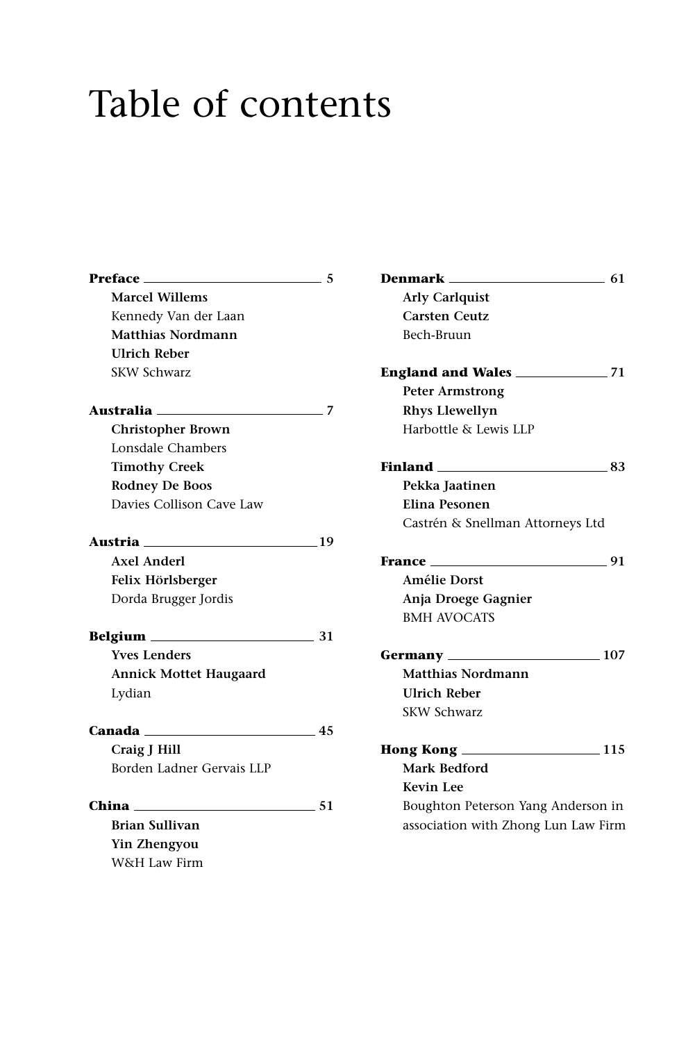## Table of contents

| $Preface$ 5                          | Denma          |
|--------------------------------------|----------------|
| <b>Marcel Willems</b>                | Arly           |
| Kennedy Van der Laan                 | Cars           |
| Matthias Nordmann                    | <b>Bech</b>    |
| <b>Ulrich Reber</b>                  |                |
| <b>SKW Schwarz</b>                   | <b>Englan</b>  |
|                                      | Pete           |
| Australia 2020 12:00 2012 12:00 2012 | Rhy            |
| <b>Christopher Brown</b>             | Harb           |
| Lonsdale Chambers                    |                |
| <b>Timothy Creek</b>                 | <b>Finland</b> |
| <b>Rodney De Boos</b>                | <b>Pekl</b>    |
| Davies Collison Cave Law             | Elin           |
|                                      | Cast           |
| Austria 19                           |                |
| <b>Axel Anderl</b>                   | <b>France</b>  |
| Felix Hörlsberger                    | Amé            |
| Dorda Brugger Jordis                 | Anja           |
|                                      | <b>BMF</b>     |
|                                      |                |
| <b>Yves Lenders</b>                  | Germa          |
| <b>Annick Mottet Haugaard</b>        | Mat            |
| Lydian                               | Ulri           |
|                                      | <b>SKW</b>     |
| Canada 45                            |                |
| Craig J Hill                         | <b>Hong k</b>  |
| Borden Ladner Gervais LLP            | Mar            |
|                                      | Kevi           |
| China<br>$\sim$ 51                   | Bou            |
| <b>Brian Sullivan</b>                | asso           |
| Yin Zhengyou                         |                |
| W&H Law Firm                         |                |

| <b>Denmark</b><br>$\sim$ 61                   |    |
|-----------------------------------------------|----|
| <b>Arly Carlquist</b>                         |    |
| <b>Carsten Ceutz</b>                          |    |
| Bech-Bruun                                    |    |
|                                               |    |
| <b>Peter Armstrong</b>                        |    |
| <b>Rhys Llewellyn</b>                         |    |
| Harbottle & Lewis LLP                         |    |
| <b>Finland</b> _________________              | 83 |
| Pekka Jaatinen                                |    |
| Elina Pesonen                                 |    |
| Castrén & Snellman Attorneys Ltd              |    |
| <b>France</b> _____<br>$-91$                  |    |
| <b>Amélie Dorst</b>                           |    |
| Anja Droege Gagnier                           |    |
| <b>BMH AVOCATS</b>                            |    |
| Germany 107                                   |    |
| <b>Matthias Nordmann</b>                      |    |
| <b>Ulrich Reber</b>                           |    |
| <b>SKW Schwarz</b>                            |    |
| <b>Hong Kong _________________________115</b> |    |
| Mark Bedford                                  |    |
| <b>Kevin Lee</b>                              |    |
| Boughton Peterson Yang Anderson in            |    |
| association with Zhong Lun Law Firm           |    |
|                                               |    |